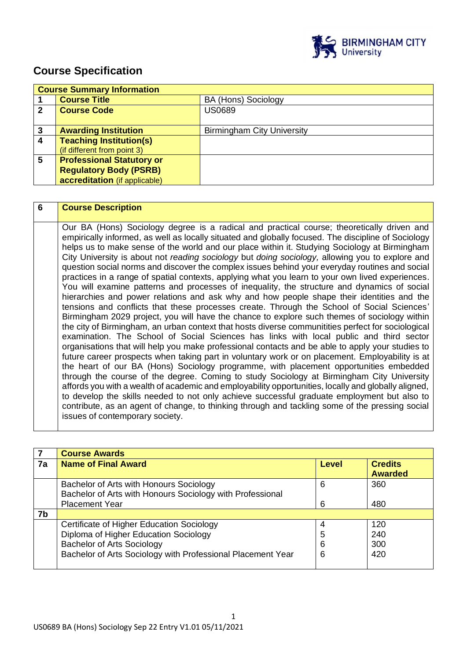

# **Course Specification**

|              | <b>Course Summary Information</b> |                                   |  |
|--------------|-----------------------------------|-----------------------------------|--|
|              | <b>Course Title</b>               | <b>BA (Hons) Sociology</b>        |  |
| $\mathbf{2}$ | <b>Course Code</b>                | <b>US0689</b>                     |  |
|              |                                   |                                   |  |
| 3            | <b>Awarding Institution</b>       | <b>Birmingham City University</b> |  |
| 4            | <b>Teaching Institution(s)</b>    |                                   |  |
|              | (if different from point 3)       |                                   |  |
| 5            | <b>Professional Statutory or</b>  |                                   |  |
|              | <b>Regulatory Body (PSRB)</b>     |                                   |  |
|              | accreditation (if applicable)     |                                   |  |

| 6 | <b>Course Description</b>                                                                                                                                                                                                                                                                                                                                                                                                                                                                                                                                                                                                                                                                                                                                                                                                                                                                                                                                                                                                                                                                                                                                                                                                                                                                                                                                                                                                                                                                                                                                                                                                                                                                                                                                                                                                                                                                                                                        |
|---|--------------------------------------------------------------------------------------------------------------------------------------------------------------------------------------------------------------------------------------------------------------------------------------------------------------------------------------------------------------------------------------------------------------------------------------------------------------------------------------------------------------------------------------------------------------------------------------------------------------------------------------------------------------------------------------------------------------------------------------------------------------------------------------------------------------------------------------------------------------------------------------------------------------------------------------------------------------------------------------------------------------------------------------------------------------------------------------------------------------------------------------------------------------------------------------------------------------------------------------------------------------------------------------------------------------------------------------------------------------------------------------------------------------------------------------------------------------------------------------------------------------------------------------------------------------------------------------------------------------------------------------------------------------------------------------------------------------------------------------------------------------------------------------------------------------------------------------------------------------------------------------------------------------------------------------------------|
|   | Our BA (Hons) Sociology degree is a radical and practical course; theoretically driven and<br>empirically informed, as well as locally situated and globally focused. The discipline of Sociology<br>helps us to make sense of the world and our place within it. Studying Sociology at Birmingham<br>City University is about not reading sociology but doing sociology, allowing you to explore and<br>question social norms and discover the complex issues behind your everyday routines and social<br>practices in a range of spatial contexts, applying what you learn to your own lived experiences.<br>You will examine patterns and processes of inequality, the structure and dynamics of social<br>hierarchies and power relations and ask why and how people shape their identities and the<br>tensions and conflicts that these processes create. Through the School of Social Sciences'<br>Birmingham 2029 project, you will have the chance to explore such themes of sociology within<br>the city of Birmingham, an urban context that hosts diverse communitities perfect for sociological<br>examination. The School of Social Sciences has links with local public and third sector<br>organisations that will help you make professional contacts and be able to apply your studies to<br>future career prospects when taking part in voluntary work or on placement. Employability is at<br>the heart of our BA (Hons) Sociology programme, with placement opportunities embedded<br>through the course of the degree. Coming to study Sociology at Birmingham City University<br>affords you with a wealth of academic and employability opportunities, locally and globally aligned,<br>to develop the skills needed to not only achieve successful graduate employment but also to<br>contribute, as an agent of change, to thinking through and tackling some of the pressing social<br>issues of contemporary society. |

|    | <b>Course Awards</b>                                                                                                                                                                   |                  |                                  |
|----|----------------------------------------------------------------------------------------------------------------------------------------------------------------------------------------|------------------|----------------------------------|
| 7a | <b>Name of Final Award</b>                                                                                                                                                             | Level            | <b>Credits</b><br><b>Awarded</b> |
|    | Bachelor of Arts with Honours Sociology<br>Bachelor of Arts with Honours Sociology with Professional<br><b>Placement Year</b>                                                          | 6<br>6           | 360<br>480                       |
| 7b |                                                                                                                                                                                        |                  |                                  |
|    | Certificate of Higher Education Sociology<br>Diploma of Higher Education Sociology<br><b>Bachelor of Arts Sociology</b><br>Bachelor of Arts Sociology with Professional Placement Year | 4<br>5<br>6<br>6 | 120<br>240<br>300<br>420         |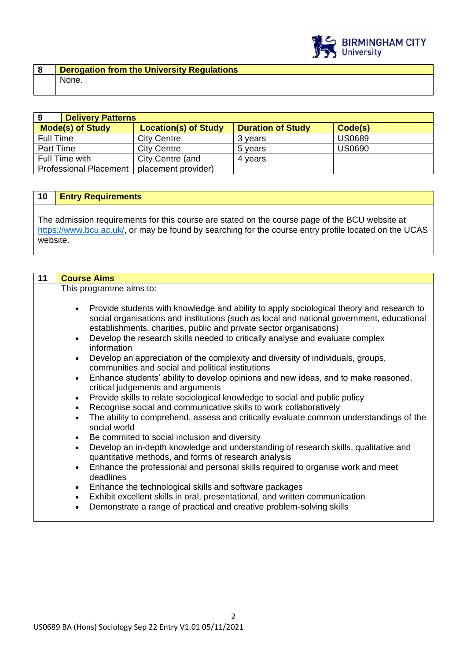

| 9                             | <b>Delivery Patterns</b> |                             |                          |               |
|-------------------------------|--------------------------|-----------------------------|--------------------------|---------------|
| <b>Mode(s) of Study</b>       |                          | <b>Location(s) of Study</b> | <b>Duration of Study</b> | Code(s)       |
| <b>Full Time</b>              |                          | <b>City Centre</b>          | 3 vears                  | <b>US0689</b> |
| Part Time                     |                          | <b>City Centre</b>          | 5 years                  | <b>US0690</b> |
| Full Time with                |                          | City Centre (and            | 4 years                  |               |
| <b>Professional Placement</b> |                          | placement provider)         |                          |               |

#### **10 Entry Requirements**

The admission requirements for this course are stated on the course page of the BCU website at [https://www.bcu.ac.uk/,](https://www.bcu.ac.uk/) or may be found by searching for the course entry profile located on the UCAS website.

| 11 | <b>Course Aims</b>                                                                                                                                                                                                                                                                                                                                                                                                                                                                                                                                                                                                                                                                                                                                                                                                                                                                                                                                                                       |  |  |
|----|------------------------------------------------------------------------------------------------------------------------------------------------------------------------------------------------------------------------------------------------------------------------------------------------------------------------------------------------------------------------------------------------------------------------------------------------------------------------------------------------------------------------------------------------------------------------------------------------------------------------------------------------------------------------------------------------------------------------------------------------------------------------------------------------------------------------------------------------------------------------------------------------------------------------------------------------------------------------------------------|--|--|
|    | This programme aims to:                                                                                                                                                                                                                                                                                                                                                                                                                                                                                                                                                                                                                                                                                                                                                                                                                                                                                                                                                                  |  |  |
|    | Provide students with knowledge and ability to apply sociological theory and research to<br>$\bullet$<br>social organisations and institutions (such as local and national government, educational<br>establishments, charities, public and private sector organisations)<br>Develop the research skills needed to critically analyse and evaluate complex<br>$\bullet$<br>information<br>Develop an appreciation of the complexity and diversity of individuals, groups,<br>$\bullet$<br>communities and social and political institutions<br>Enhance students' ability to develop opinions and new ideas, and to make reasoned,<br>$\bullet$<br>critical judgements and arguments<br>Provide skills to relate sociological knowledge to social and public policy<br>$\bullet$<br>Recognise social and communicative skills to work collaboratively<br>$\bullet$<br>The ability to comprehend, assess and critically evaluate common understandings of the<br>$\bullet$<br>social world |  |  |
|    | Be commited to social inclusion and diversity<br>$\bullet$<br>Develop an in-depth knowledge and understanding of research skills, qualitative and<br>$\bullet$<br>quantitative methods, and forms of research analysis                                                                                                                                                                                                                                                                                                                                                                                                                                                                                                                                                                                                                                                                                                                                                                   |  |  |
|    | Enhance the professional and personal skills required to organise work and meet<br>$\bullet$<br>deadlines                                                                                                                                                                                                                                                                                                                                                                                                                                                                                                                                                                                                                                                                                                                                                                                                                                                                                |  |  |
|    | Enhance the technological skills and software packages<br>$\bullet$                                                                                                                                                                                                                                                                                                                                                                                                                                                                                                                                                                                                                                                                                                                                                                                                                                                                                                                      |  |  |
|    | Exhibit excellent skills in oral, presentational, and written communication<br>$\bullet$<br>Demonstrate a range of practical and creative problem-solving skills<br>$\bullet$                                                                                                                                                                                                                                                                                                                                                                                                                                                                                                                                                                                                                                                                                                                                                                                                            |  |  |

2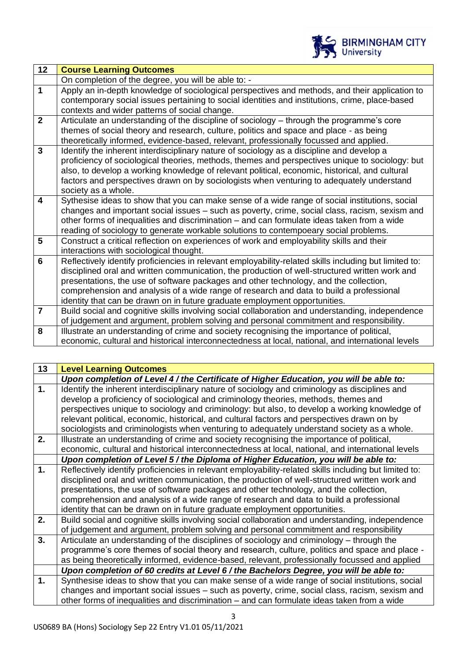

| 12                      | <b>Course Learning Outcomes</b>                                                                                                                                                                   |
|-------------------------|---------------------------------------------------------------------------------------------------------------------------------------------------------------------------------------------------|
|                         | On completion of the degree, you will be able to: -                                                                                                                                               |
| $\mathbf{1}$            | Apply an in-depth knowledge of sociological perspectives and methods, and their application to<br>contemporary social issues pertaining to social identities and institutions, crime, place-based |
|                         | contexts and wider patterns of social change.                                                                                                                                                     |
| $\overline{2}$          | Articulate an understanding of the discipline of sociology – through the programme's core                                                                                                         |
|                         | themes of social theory and research, culture, politics and space and place - as being                                                                                                            |
|                         | theoretically informed, evidence-based, relevant, professionally focussed and applied.                                                                                                            |
| $\overline{3}$          | Identify the inherent interdisciplinary nature of sociology as a discipline and develop a                                                                                                         |
|                         | proficiency of sociological theories, methods, themes and perspectives unique to sociology: but                                                                                                   |
|                         | also, to develop a working knowledge of relevant political, economic, historical, and cultural                                                                                                    |
|                         | factors and perspectives drawn on by sociologists when venturing to adequately understand                                                                                                         |
| $\overline{\mathbf{4}}$ | society as a whole.                                                                                                                                                                               |
|                         | Sythesise ideas to show that you can make sense of a wide range of social institutions, social<br>changes and important social issues - such as poverty, crime, social class, racism, sexism and  |
|                         | other forms of inequalities and discrimination – and can formulate ideas taken from a wide                                                                                                        |
|                         | reading of sociology to generate workable solutions to contempoeary social problems.                                                                                                              |
| 5                       | Construct a critical reflection on experiences of work and employability skills and their                                                                                                         |
|                         | interactions with sociological thought.                                                                                                                                                           |
| 6                       | Reflectively identify proficiencies in relevant employability-related skills including but limited to:                                                                                            |
|                         | disciplined oral and written communication, the production of well-structured written work and                                                                                                    |
|                         | presentations, the use of software packages and other technology, and the collection,                                                                                                             |
|                         | comprehension and analysis of a wide range of research and data to build a professional                                                                                                           |
|                         | identity that can be drawn on in future graduate employment opportunities.                                                                                                                        |
| $\overline{7}$          | Build social and cognitive skills involving social collaboration and understanding, independence                                                                                                  |
|                         | of judgement and argument, problem solving and personal commitment and responsibility.                                                                                                            |
| 8                       | Illustrate an understanding of crime and society recognising the importance of political,                                                                                                         |
|                         | economic, cultural and historical interconnectedness at local, national, and international levels                                                                                                 |

| 13 | <b>Level Learning Outcomes</b>                                                                         |
|----|--------------------------------------------------------------------------------------------------------|
|    | Upon completion of Level 4 / the Certificate of Higher Education, you will be able to:                 |
| 1. | Identify the inherent interdisciplinary nature of sociology and criminology as disciplines and         |
|    | develop a proficiency of sociological and criminology theories, methods, themes and                    |
|    | perspectives unique to sociology and criminology: but also, to develop a working knowledge of          |
|    | relevant political, economic, historical, and cultural factors and perspectives drawn on by            |
|    | sociologists and criminologists when venturing to adequately understand society as a whole.            |
| 2. | Illustrate an understanding of crime and society recognising the importance of political,              |
|    | economic, cultural and historical interconnectedness at local, national, and international levels      |
|    | Upon completion of Level 5 / the Diploma of Higher Education, you will be able to:                     |
| 1. | Reflectively identify proficiencies in relevant employability-related skills including but limited to: |
|    | disciplined oral and written communication, the production of well-structured written work and         |
|    | presentations, the use of software packages and other technology, and the collection,                  |
|    | comprehension and analysis of a wide range of research and data to build a professional                |
|    | identity that can be drawn on in future graduate employment opportunities.                             |
| 2. | Build social and cognitive skills involving social collaboration and understanding, independence       |
|    | of judgement and argument, problem solving and personal commitment and responsibility                  |
| 3. | Articulate an understanding of the disciplines of sociology and criminology – through the              |
|    | programme's core themes of social theory and research, culture, politics and space and place -         |
|    | as being theoretically informed, evidence-based, relevant, professionally focussed and applied         |
|    | Upon completion of 60 credits at Level 6 / the Bachelors Degree, you will be able to:                  |
| 1. | Synthesise ideas to show that you can make sense of a wide range of social institutions, social        |
|    | changes and important social issues - such as poverty, crime, social class, racism, sexism and         |
|    | other forms of inequalities and discrimination - and can formulate ideas taken from a wide             |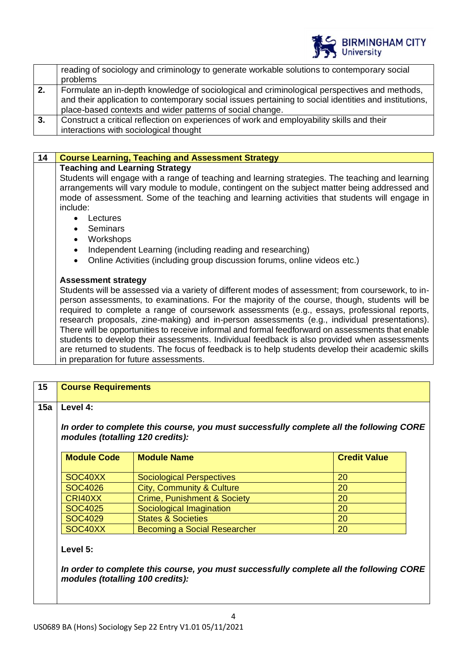

|    | reading of sociology and criminology to generate workable solutions to contemporary social                                                                                                                                                                         |
|----|--------------------------------------------------------------------------------------------------------------------------------------------------------------------------------------------------------------------------------------------------------------------|
|    | problems                                                                                                                                                                                                                                                           |
| 2. | Formulate an in-depth knowledge of sociological and criminological perspectives and methods,<br>and their application to contemporary social issues pertaining to social identities and institutions,<br>place-based contexts and wider patterns of social change. |
| 3. | Construct a critical reflection on experiences of work and employability skills and their<br>interactions with sociological thought                                                                                                                                |

## **14 Course Learning, Teaching and Assessment Strategy Teaching and Learning Strategy** Students will engage with a range of teaching and learning strategies. The teaching and learning arrangements will vary module to module, contingent on the subject matter being addressed and mode of assessment. Some of the teaching and learning activities that students will engage in include: **Lectures** • Seminars

- Workshops
- Independent Learning (including reading and researching)
- Online Activities (including group discussion forums, online videos etc.)

#### **Assessment strategy**

Students will be assessed via a variety of different modes of assessment; from coursework, to inperson assessments, to examinations. For the majority of the course, though, students will be required to complete a range of coursework assessments (e.g., essays, professional reports, research proposals, zine-making) and in-person assessments (e.g., individual presentations). There will be opportunities to receive informal and formal feedforward on assessments that enable students to develop their assessments. Individual feedback is also provided when assessments are returned to students. The focus of feedback is to help students develop their academic skills in preparation for future assessments.

| 15  | <b>Course Requirements</b>                                                                                                  |                                           |    |  |
|-----|-----------------------------------------------------------------------------------------------------------------------------|-------------------------------------------|----|--|
| 15a | Level 4:                                                                                                                    |                                           |    |  |
|     | In order to complete this course, you must successfully complete all the following CORE<br>modules (totalling 120 credits): |                                           |    |  |
|     | <b>Module Code</b>                                                                                                          | <b>Credit Value</b><br><b>Module Name</b> |    |  |
|     | SOC <sub>40</sub> XX                                                                                                        | <b>Sociological Perspectives</b>          | 20 |  |
|     | SOC4026                                                                                                                     | City, Community & Culture                 | 20 |  |
|     | CRI40XX                                                                                                                     | <b>Crime, Punishment &amp; Society</b>    | 20 |  |
|     | <b>SOC4025</b>                                                                                                              | Sociological Imagination                  | 20 |  |
|     | <b>SOC4029</b>                                                                                                              | <b>States &amp; Societies</b>             | 20 |  |

SOC40XX Becoming a Social Researcher 20

#### **Level 5:**

*In order to complete this course, you must successfully complete all the following CORE modules (totalling 100 credits):*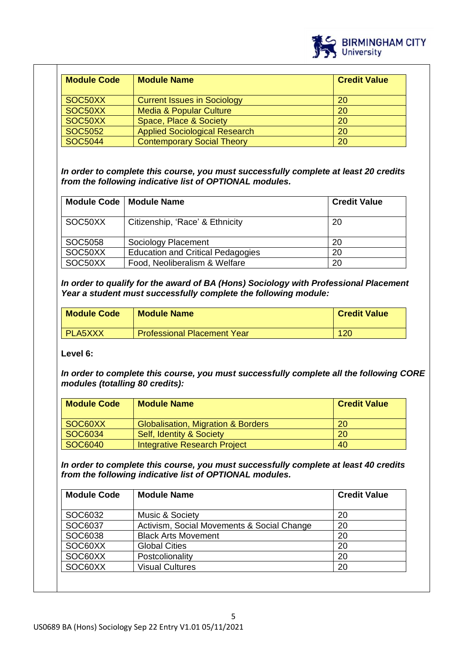

| <b>Module Code</b> | <b>Module Name</b>                   | <b>Credit Value</b> |
|--------------------|--------------------------------------|---------------------|
| SOC50XX            | <b>Current Issues in Sociology</b>   | 20                  |
| SOC50XX            | <b>Media &amp; Popular Culture</b>   | 20                  |
| SOC50XX            | <b>Space, Place &amp; Society</b>    | 20                  |
| <b>SOC5052</b>     | <b>Applied Sociological Research</b> | 20                  |
| <b>SOC5044</b>     | <b>Contemporary Social Theory</b>    | 20                  |

*In order to complete this course, you must successfully complete at least 20 credits from the following indicative list of OPTIONAL modules.* 

|         | Module Code   Module Name                | <b>Credit Value</b> |
|---------|------------------------------------------|---------------------|
| SOC50XX | Citizenship, 'Race' & Ethnicity          | 20                  |
| SOC5058 | Sociology Placement                      | 20                  |
| SOC50XX | <b>Education and Critical Pedagogies</b> | 20                  |
| SOC50XX | Food, Neoliberalism & Welfare            | 20                  |

*In order to qualify for the award of BA (Hons) Sociology with Professional Placement Year a student must successfully complete the following module:*

| <b>Module Code</b> | <b>Module Name</b>                 | <b>Credit Value</b> |
|--------------------|------------------------------------|---------------------|
| <b>PLA5XXX</b>     | <b>Professional Placement Year</b> | 120                 |

**Level 6:**

*In order to complete this course, you must successfully complete all the following CORE modules (totalling 80 credits):*

| <b>Module Code</b> | <b>Module Name</b>                            | <b>Credit Value</b> |
|--------------------|-----------------------------------------------|---------------------|
| SOC60XX            | <b>Globalisation, Migration &amp; Borders</b> | 20                  |
| SOC6034            | <b>Self, Identity &amp; Society</b>           | <b>20</b>           |
| SOC6040            | Integrative Research Project                  | 40                  |

*In order to complete this course, you must successfully complete at least 40 credits from the following indicative list of OPTIONAL modules.* 

| <b>Module Code</b> | <b>Module Name</b>                         | <b>Credit Value</b> |
|--------------------|--------------------------------------------|---------------------|
| SOC6032            | Music & Society                            | 20                  |
| SOC6037            | Activism, Social Movements & Social Change | 20                  |
| SOC6038            | <b>Black Arts Movement</b>                 | 20                  |
| SOC60XX            | <b>Global Cities</b>                       | 20                  |
| SOC60XX            | Postcolionality                            | 20                  |
| SOC60XX            | <b>Visual Cultures</b>                     | 20                  |
|                    |                                            |                     |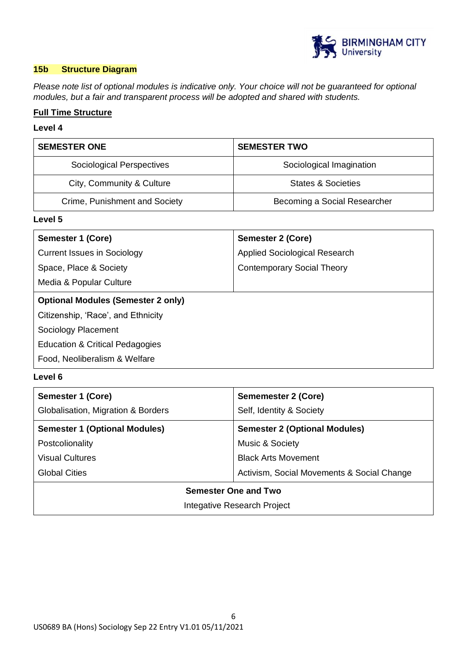

#### **15b Structure Diagram**

*Please note list of optional modules is indicative only. Your choice will not be guaranteed for optional modules, but a fair and transparent process will be adopted and shared with students.*

## **Full Time Structure**

#### **Level 4**

| <b>SEMESTER ONE</b>              | <b>SEMESTER TWO</b>          |
|----------------------------------|------------------------------|
| <b>Sociological Perspectives</b> | Sociological Imagination     |
| City, Community & Culture        | States & Societies           |
| Crime, Punishment and Society    | Becoming a Social Researcher |

## **Level 5**

| Semester 1 (Core)                          | <b>Semester 2 (Core)</b>          |
|--------------------------------------------|-----------------------------------|
| <b>Current Issues in Sociology</b>         | Applied Sociological Research     |
| Space, Place & Society                     | <b>Contemporary Social Theory</b> |
| Media & Popular Culture                    |                                   |
| <b>Optional Modules (Semester 2 only)</b>  |                                   |
| Citizenship, 'Race', and Ethnicity         |                                   |
| Sociology Placement                        |                                   |
| <b>Education &amp; Critical Pedagogies</b> |                                   |
| Food, Neoliberalism & Welfare              |                                   |

#### **Level 6**

| <b>Semester 1 (Core)</b>             | <b>Sememester 2 (Core)</b>                 |
|--------------------------------------|--------------------------------------------|
| Globalisation, Migration & Borders   | Self, Identity & Society                   |
| <b>Semester 1 (Optional Modules)</b> | <b>Semester 2 (Optional Modules)</b>       |
| Postcolionality                      | Music & Society                            |
| <b>Visual Cultures</b>               | <b>Black Arts Movement</b>                 |
| <b>Global Cities</b>                 | Activism, Social Movements & Social Change |
| <b>Semester One and Two</b>          |                                            |
| Integative Research Project          |                                            |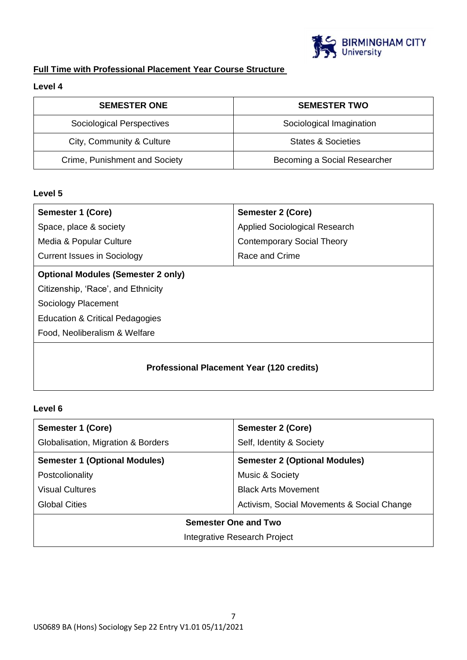

# **Full Time with Professional Placement Year Course Structure**

## **Level 4**

| <b>SEMESTER ONE</b>           | <b>SEMESTER TWO</b>           |
|-------------------------------|-------------------------------|
| Sociological Perspectives     | Sociological Imagination      |
| City, Community & Culture     | <b>States &amp; Societies</b> |
| Crime, Punishment and Society | Becoming a Social Researcher  |

## **Level 5**

| Semester 1 (Core)                                | Semester 2 (Core)                 |  |
|--------------------------------------------------|-----------------------------------|--|
| Space, place & society                           | Applied Sociological Research     |  |
| Media & Popular Culture                          | <b>Contemporary Social Theory</b> |  |
| <b>Current Issues in Sociology</b>               | Race and Crime                    |  |
| <b>Optional Modules (Semester 2 only)</b>        |                                   |  |
| Citizenship, 'Race', and Ethnicity               |                                   |  |
| Sociology Placement                              |                                   |  |
| <b>Education &amp; Critical Pedagogies</b>       |                                   |  |
| Food, Neoliberalism & Welfare                    |                                   |  |
| <b>Professional Placement Year (120 credits)</b> |                                   |  |

## **Level 6**

| Semester 1 (Core)                    | <b>Semester 2 (Core)</b>                   |  |
|--------------------------------------|--------------------------------------------|--|
| Globalisation, Migration & Borders   | Self, Identity & Society                   |  |
| <b>Semester 1 (Optional Modules)</b> | <b>Semester 2 (Optional Modules)</b>       |  |
| Postcolionality                      | Music & Society                            |  |
| Visual Cultures                      | <b>Black Arts Movement</b>                 |  |
| <b>Global Cities</b>                 | Activism, Social Movements & Social Change |  |
| Semester One and Two                 |                                            |  |
| Integrative Research Project         |                                            |  |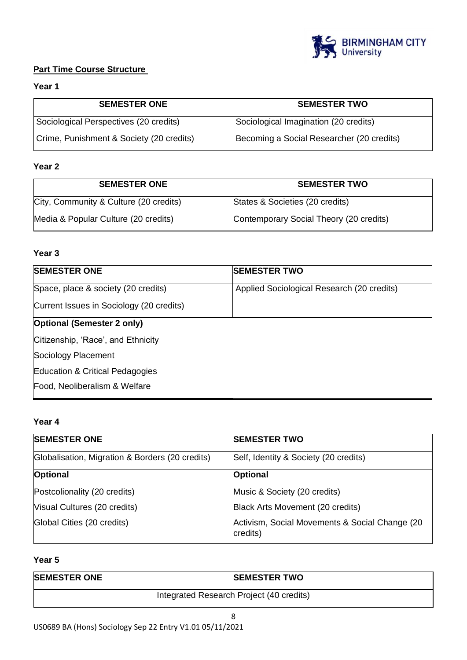

## **Part Time Course Structure**

## **Year 1**

| <b>SEMESTER ONE</b>                      | <b>SEMESTER TWO</b>                       |
|------------------------------------------|-------------------------------------------|
| Sociological Perspectives (20 credits)   | Sociological Imagination (20 credits)     |
| Crime, Punishment & Society (20 credits) | Becoming a Social Researcher (20 credits) |

## **Year 2**

| <b>SEMESTER ONE</b>                    | <b>SEMESTER TWO</b>                     |
|----------------------------------------|-----------------------------------------|
| City, Community & Culture (20 credits) | States & Societies (20 credits)         |
| Media & Popular Culture (20 credits)   | Contemporary Social Theory (20 credits) |

## **Year 3**

| <b>SEMESTER ONE</b>                      | <b>SEMESTER TWO</b>                        |
|------------------------------------------|--------------------------------------------|
| Space, place & society (20 credits)      | Applied Sociological Research (20 credits) |
| Current Issues in Sociology (20 credits) |                                            |
| <b>Optional (Semester 2 only)</b>        |                                            |
| Citizenship, 'Race', and Ethnicity       |                                            |
| Sociology Placement                      |                                            |
| Education & Critical Pedagogies          |                                            |
| Food, Neoliberalism & Welfare            |                                            |

## **Year 4**

| <b>SEMESTER ONE</b>                             | <b>SEMESTER TWO</b>                                         |
|-------------------------------------------------|-------------------------------------------------------------|
| Globalisation, Migration & Borders (20 credits) | Self, Identity & Society (20 credits)                       |
| Optional                                        | Optional                                                    |
| Postcolionality (20 credits)                    | Music & Society (20 credits)                                |
| Visual Cultures (20 credits)                    | Black Arts Movement (20 credits)                            |
| Global Cities (20 credits)                      | Activism, Social Movements & Social Change (20)<br>credits) |

## **Year 5**

| <b>SEMESTER ONE</b>                      | <b>SEMESTER TWO</b> |
|------------------------------------------|---------------------|
| Integrated Research Project (40 credits) |                     |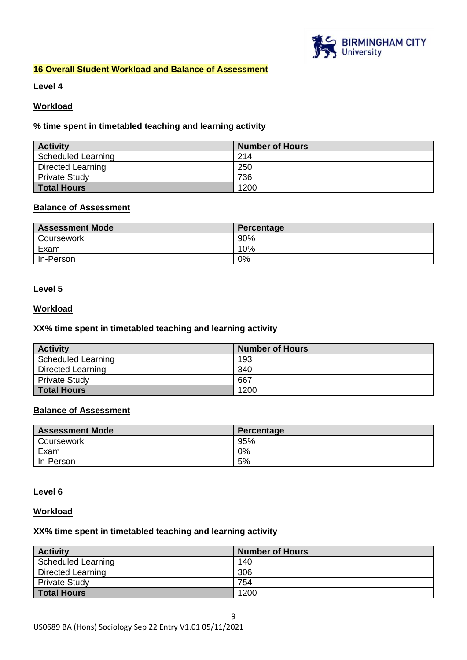

#### **16 Overall Student Workload and Balance of Assessment**

**Level 4**

#### **Workload**

#### **% time spent in timetabled teaching and learning activity**

| <b>Activity</b>      | <b>Number of Hours</b> |
|----------------------|------------------------|
| Scheduled Learning   | 214                    |
| Directed Learning    | 250                    |
| <b>Private Study</b> | 736                    |
| <b>Total Hours</b>   | 1200                   |

#### **Balance of Assessment**

| <b>Assessment Mode</b> | Percentage |
|------------------------|------------|
| Coursework             | 90%        |
| Exam                   | 10%        |
| In-Person              | 0%         |

#### **Level 5**

#### **Workload**

#### **XX% time spent in timetabled teaching and learning activity**

| <b>Activity</b>      | <b>Number of Hours</b> |
|----------------------|------------------------|
| Scheduled Learning   | 193                    |
| Directed Learning    | 340                    |
| <b>Private Study</b> | 667                    |
| <b>Total Hours</b>   | 1200                   |

## **Balance of Assessment**

| <b>Assessment Mode</b> | Percentage |
|------------------------|------------|
| Coursework             | 95%        |
| Exam                   | 0%         |
| In-Person              | 5%         |

#### **Level 6**

#### **Workload**

#### **XX% time spent in timetabled teaching and learning activity**

| <b>Activity</b>           | <b>Number of Hours</b> |
|---------------------------|------------------------|
| <b>Scheduled Learning</b> | 140                    |
| Directed Learning         | 306                    |
| <b>Private Study</b>      | 754                    |
| <b>Total Hours</b>        | 1200                   |